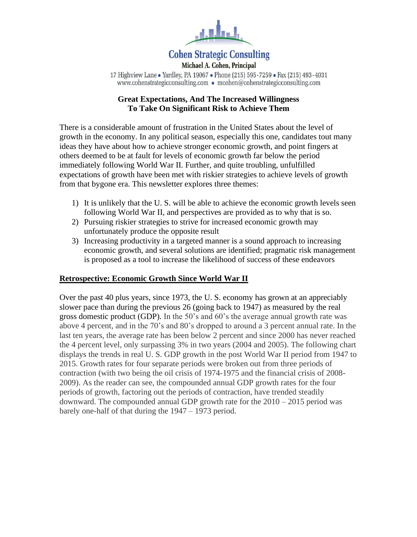

# **Cohen Strategic Consulting**

Michael A. Cohen, Principal 17 Highview Lane • Yardley, PA 19067 • Phone (215) 595-7259 • Fax (215) 493-4031 www.cohenstrategicconsulting.com • mcohen@cohenstrategicconsulting.com

# **Great Expectations, And The Increased Willingness To Take On Significant Risk to Achieve Them**

There is a considerable amount of frustration in the United States about the level of growth in the economy. In any political season, especially this one, candidates tout many ideas they have about how to achieve stronger economic growth, and point fingers at others deemed to be at fault for levels of economic growth far below the period immediately following World War II. Further, and quite troubling, unfulfilled expectations of growth have been met with riskier strategies to achieve levels of growth from that bygone era. This newsletter explores three themes:

- 1) It is unlikely that the U. S. will be able to achieve the economic growth levels seen following World War II, and perspectives are provided as to why that is so.
- 2) Pursuing riskier strategies to strive for increased economic growth may unfortunately produce the opposite result
- 3) Increasing productivity in a targeted manner is a sound approach to increasing economic growth, and several solutions are identified; pragmatic risk management is proposed as a tool to increase the likelihood of success of these endeavors

# **Retrospective: Economic Growth Since World War II**

Over the past 40 plus years, since 1973, the U. S. economy has grown at an appreciably slower pace than during the previous 26 (going back to 1947) as measured by the real gross domestic product (GDP). In the 50's and 60's the average annual growth rate was above 4 percent, and in the 70's and 80's dropped to around a 3 percent annual rate. In the last ten years, the average rate has been below 2 percent and since 2000 has never reached the 4 percent level, only surpassing 3% in two years (2004 and 2005). The following chart displays the trends in real U. S. GDP growth in the post World War II period from 1947 to 2015. Growth rates for four separate periods were broken out from three periods of contraction (with two being the oil crisis of 1974-1975 and the financial crisis of 2008- 2009). As the reader can see, the compounded annual GDP growth rates for the four periods of growth, factoring out the periods of contraction, have trended steadily downward. The compounded annual GDP growth rate for the 2010 – 2015 period was barely one-half of that during the 1947 – 1973 period.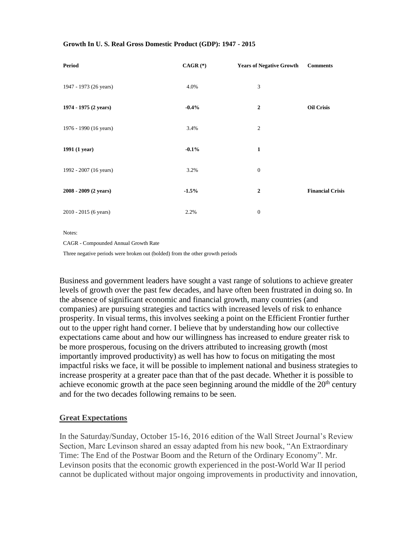#### **Growth In U. S. Real Gross Domestic Product (GDP): 1947 - 2015**

| <b>Period</b>          | $CAGR$ $(*)$ | <b>Years of Negative Growth</b> | <b>Comments</b>         |
|------------------------|--------------|---------------------------------|-------------------------|
| 1947 - 1973 (26 years) | 4.0%         | 3                               |                         |
| 1974 - 1975 (2 years)  | $-0.4%$      | $\boldsymbol{2}$                | <b>Oil Crisis</b>       |
| 1976 - 1990 (16 years) | 3.4%         | $\mathfrak{2}$                  |                         |
| 1991 (1 year)          | $-0.1%$      | $\mathbf{1}$                    |                         |
| 1992 - 2007 (16 years) | 3.2%         | $\mathbf{0}$                    |                         |
| 2008 - 2009 (2 years)  | $-1.5%$      | $\mathbf{2}$                    | <b>Financial Crisis</b> |
| 2010 - 2015 (6 years)  | 2.2%         | $\boldsymbol{0}$                |                         |

Notes:

CAGR - Compounded Annual Growth Rate

Three negative periods were broken out (bolded) from the other growth periods

Business and government leaders have sought a vast range of solutions to achieve greater levels of growth over the past few decades, and have often been frustrated in doing so. In the absence of significant economic and financial growth, many countries (and companies) are pursuing strategies and tactics with increased levels of risk to enhance prosperity. In visual terms, this involves seeking a point on the Efficient Frontier further out to the upper right hand corner. I believe that by understanding how our collective expectations came about and how our willingness has increased to endure greater risk to be more prosperous, focusing on the drivers attributed to increasing growth (most importantly improved productivity) as well has how to focus on mitigating the most impactful risks we face, it will be possible to implement national and business strategies to increase prosperity at a greater pace than that of the past decade. Whether it is possible to achieve economic growth at the pace seen beginning around the middle of the  $20<sup>th</sup>$  century and for the two decades following remains to be seen.

### **Great Expectations**

In the Saturday/Sunday, October 15-16, 2016 edition of the Wall Street Journal's Review Section, Marc Levinson shared an essay adapted from his new book, "An Extraordinary Time: The End of the Postwar Boom and the Return of the Ordinary Economy". Mr. Levinson posits that the economic growth experienced in the post-World War II period cannot be duplicated without major ongoing improvements in productivity and innovation,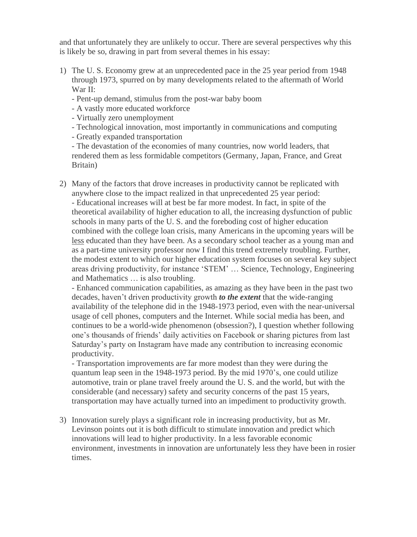and that unfortunately they are unlikely to occur. There are several perspectives why this is likely be so, drawing in part from several themes in his essay:

- 1) The U. S. Economy grew at an unprecedented pace in the 25 year period from 1948 through 1973, spurred on by many developments related to the aftermath of World War II:
	- Pent-up demand, stimulus from the post-war baby boom
	- A vastly more educated workforce
	- Virtually zero unemployment
	- Technological innovation, most importantly in communications and computing
	- Greatly expanded transportation

- The devastation of the economies of many countries, now world leaders, that rendered them as less formidable competitors (Germany, Japan, France, and Great Britain)

2) Many of the factors that drove increases in productivity cannot be replicated with anywhere close to the impact realized in that unprecedented 25 year period: - Educational increases will at best be far more modest. In fact, in spite of the theoretical availability of higher education to all, the increasing dysfunction of public schools in many parts of the U. S. and the foreboding cost of higher education combined with the college loan crisis, many Americans in the upcoming years will be less educated than they have been. As a secondary school teacher as a young man and as a part-time university professor now I find this trend extremely troubling. Further, the modest extent to which our higher education system focuses on several key subject areas driving productivity, for instance 'STEM' … Science, Technology, Engineering and Mathematics … is also troubling.

- Enhanced communication capabilities, as amazing as they have been in the past two decades, haven't driven productivity growth *to the extent* that the wide-ranging availability of the telephone did in the 1948-1973 period, even with the near-universal usage of cell phones, computers and the Internet. While social media has been, and continues to be a world-wide phenomenon (obsession?), I question whether following one's thousands of friends' daily activities on Facebook or sharing pictures from last Saturday's party on Instagram have made any contribution to increasing economic productivity.

- Transportation improvements are far more modest than they were during the quantum leap seen in the 1948-1973 period. By the mid 1970's, one could utilize automotive, train or plane travel freely around the U. S. and the world, but with the considerable (and necessary) safety and security concerns of the past 15 years, transportation may have actually turned into an impediment to productivity growth.

3) Innovation surely plays a significant role in increasing productivity, but as Mr. Levinson points out it is both difficult to stimulate innovation and predict which innovations will lead to higher productivity. In a less favorable economic environment, investments in innovation are unfortunately less they have been in rosier times.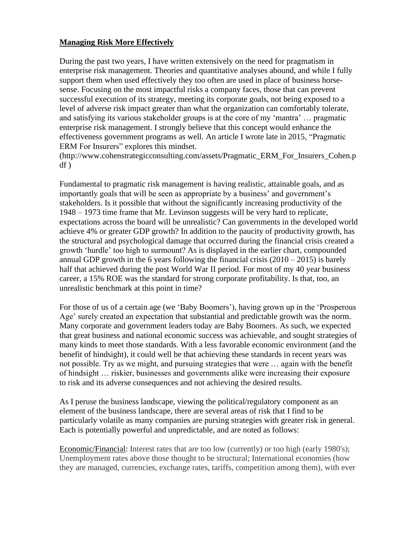# **Managing Risk More Effectively**

During the past two years, I have written extensively on the need for pragmatism in enterprise risk management. Theories and quantitative analyses abound, and while I fully support them when used effectively they too often are used in place of business horsesense. Focusing on the most impactful risks a company faces, those that can prevent successful execution of its strategy, meeting its corporate goals, not being exposed to a level of adverse risk impact greater than what the organization can comfortably tolerate, and satisfying its various stakeholder groups is at the core of my 'mantra' … pragmatic enterprise risk management. I strongly believe that this concept would enhance the effectiveness government programs as well. An article I wrote late in 2015, "Pragmatic ERM For Insurers" explores this mindset.

(http://www.cohenstrategicconsulting.com/assets/Pragmatic\_ERM\_For\_Insurers\_Cohen.p df )

Fundamental to pragmatic risk management is having realistic, attainable goals, and as importantly goals that will be seen as appropriate by a business' and government's stakeholders. Is it possible that without the significantly increasing productivity of the 1948 – 1973 time frame that Mr. Levinson suggests will be very hard to replicate, expectations across the board will be unrealistic? Can governments in the developed world achieve 4% or greater GDP growth? In addition to the paucity of productivity growth, has the structural and psychological damage that occurred during the financial crisis created a growth 'hurdle' too high to surmount? As is displayed in the earlier chart, compounded annual GDP growth in the 6 years following the financial crisis  $(2010 - 2015)$  is barely half that achieved during the post World War II period. For most of my 40 year business career, a 15% ROE was the standard for strong corporate profitability. Is that, too, an unrealistic benchmark at this point in time?

For those of us of a certain age (we 'Baby Boomers'), having grown up in the 'Prosperous Age' surely created an expectation that substantial and predictable growth was the norm. Many corporate and government leaders today are Baby Boomers. As such, we expected that great business and national economic success was achievable, and sought strategies of many kinds to meet those standards. With a less favorable economic environment (and the benefit of hindsight), it could well be that achieving these standards in recent years was not possible. Try as we might, and pursuing strategies that were … again with the benefit of hindsight … riskier, businesses and governments alike were increasing their exposure to risk and its adverse consequences and not achieving the desired results.

As I peruse the business landscape, viewing the political/regulatory component as an element of the business landscape, there are several areas of risk that I find to be particularly volatile as many companies are pursing strategies with greater risk in general. Each is potentially powerful and unpredictable, and are noted as follows:

Economic/Financial: Interest rates that are too low (currently) or too high (early 1980's); Unemployment rates above those thought to be structural; International economies (how they are managed, currencies, exchange rates, tariffs, competition among them), with ever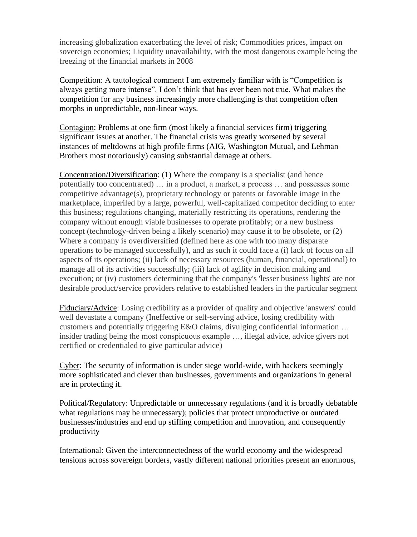increasing globalization exacerbating the level of risk; Commodities prices, impact on sovereign economies; Liquidity unavailability, with the most dangerous example being the freezing of the financial markets in 2008

Competition: A tautological comment I am extremely familiar with is "Competition is always getting more intense". I don't think that has ever been not true. What makes the competition for any business increasingly more challenging is that competition often morphs in unpredictable, non-linear ways.

Contagion: Problems at one firm (most likely a financial services firm) triggering significant issues at another. The financial crisis was greatly worsened by several instances of meltdowns at high profile firms (AIG, Washington Mutual, and Lehman Brothers most notoriously) causing substantial damage at others.

Concentration/Diversification: (1) Where the company is a specialist (and hence potentially too concentrated) … in a product, a market, a process … and possesses some competitive advantage(s), proprietary technology or patents or favorable image in the marketplace, imperiled by a large, powerful, well-capitalized competitor deciding to enter this business; regulations changing, materially restricting its operations, rendering the company without enough viable businesses to operate profitably; or a new business concept (technology-driven being a likely scenario) may cause it to be obsolete, or (2) Where a company is overdiversified **(**defined here as one with too many disparate operations to be managed successfully), and as such it could face a (i) lack of focus on all aspects of its operations; (ii) lack of necessary resources (human, financial, operational) to manage all of its activities successfully; (iii) lack of agility in decision making and execution; or (iv) customers determining that the company's 'lesser business lights' are not desirable product/service providers relative to established leaders in the particular segment

Fiduciary/Advice: Losing credibility as a provider of quality and objective 'answers' could well devastate a company (Ineffective or self-serving advice, losing credibility with customers and potentially triggering E&O claims, divulging confidential information … insider trading being the most conspicuous example …, illegal advice, advice givers not certified or credentialed to give particular advice)

Cyber: The security of information is under siege world-wide, with hackers seemingly more sophisticated and clever than businesses, governments and organizations in general are in protecting it.

Political/Regulatory: Unpredictable or unnecessary regulations (and it is broadly debatable what regulations may be unnecessary); policies that protect unproductive or outdated businesses/industries and end up stifling competition and innovation, and consequently productivity

International: Given the interconnectedness of the world economy and the widespread tensions across sovereign borders, vastly different national priorities present an enormous,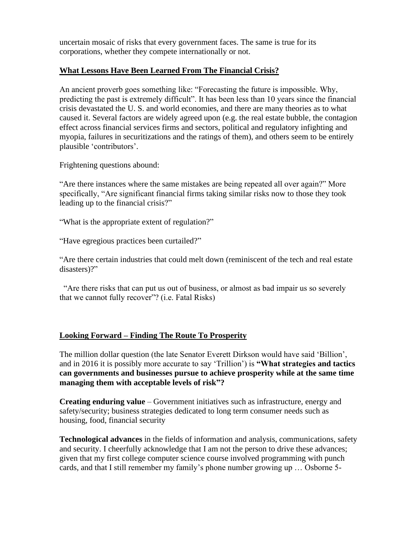uncertain mosaic of risks that every government faces. The same is true for its corporations, whether they compete internationally or not.

## **What Lessons Have Been Learned From The Financial Crisis?**

An ancient proverb goes something like: "Forecasting the future is impossible. Why, predicting the past is extremely difficult". It has been less than 10 years since the financial crisis devastated the U. S. and world economies, and there are many theories as to what caused it. Several factors are widely agreed upon (e.g. the real estate bubble, the contagion effect across financial services firms and sectors, political and regulatory infighting and myopia, failures in securitizations and the ratings of them), and others seem to be entirely plausible 'contributors'.

Frightening questions abound:

"Are there instances where the same mistakes are being repeated all over again?" More specifically, "Are significant financial firms taking similar risks now to those they took leading up to the financial crisis?"

"What is the appropriate extent of regulation?"

"Have egregious practices been curtailed?"

"Are there certain industries that could melt down (reminiscent of the tech and real estate disasters)?"

 "Are there risks that can put us out of business, or almost as bad impair us so severely that we cannot fully recover"? (i.e. Fatal Risks)

# **Looking Forward – Finding The Route To Prosperity**

The million dollar question (the late Senator Everett Dirkson would have said 'Billion', and in 2016 it is possibly more accurate to say 'Trillion') is **"What strategies and tactics can governments and businesses pursue to achieve prosperity while at the same time managing them with acceptable levels of risk"?**

**Creating enduring value** – Government initiatives such as infrastructure, energy and safety/security; business strategies dedicated to long term consumer needs such as housing, food, financial security

**Technological advances** in the fields of information and analysis, communications, safety and security. I cheerfully acknowledge that I am not the person to drive these advances; given that my first college computer science course involved programming with punch cards, and that I still remember my family's phone number growing up … Osborne 5-